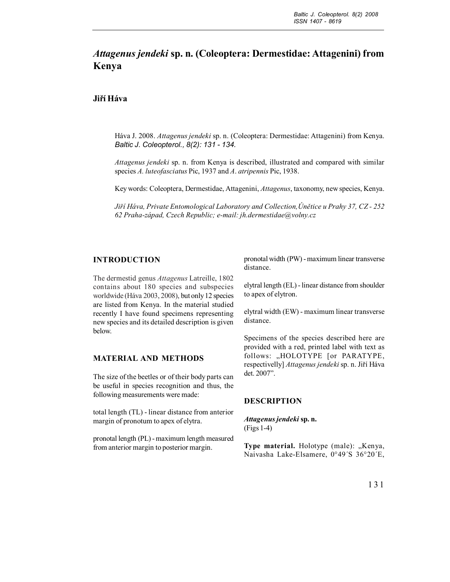# *Attagenus jendeki* **sp. n. (Coleoptera: Dermestidae: Attagenini) from Kenya**

# **Jiří Háva**

Háva J. 2008. *Attagenus jendeki* sp. n. (Coleoptera: Dermestidae: Attagenini) from Kenya. *Baltic J. Coleopterol., 8(2): 131 - 134.*

*Attagenus jendeki* sp. n. from Kenya is described, illustrated and compared with similar species *A. luteofasciatus* Pic, 1937 and *A*. *atripennis* Pic, 1938.

Key words: Coleoptera, Dermestidae, Attagenini, *Attagenus*, taxonomy, new species, Kenya.

*Jiří Háva, Private Entomological Laboratory and Collection,Únětice u Prahy 37, CZ - 252 62 Praha-západ, Czech Republic; e-mail: jh.dermestidae@volny.cz*

## **INTRODUCTION**

The dermestid genus *Attagenus* Latreille, 1802 contains about 180 species and subspecies worldwide (Háva 2003, 2008), but only 12 species are listed from Kenya. In the material studied recently I have found specimens representing new species and its detailed description is given below.

#### **MATERIAL AND METHODS**

The size of the beetles or of their body parts can be useful in species recognition and thus, the following measurements were made:

total length (TL) - linear distance from anterior margin of pronotum to apex of elytra.

pronotal length (PL) - maximum length measured from anterior margin to posterior margin.

pronotal width (PW) - maximum linear transverse distance.

elytral length (EL) - linear distance from shoulder to apex of elytron.

elytral width (EW) - maximum linear transverse distance.

Specimens of the species described here are provided with a red, printed label with text as follows: "HOLOTYPE [or PARATYPE, respectivelly] *Attagenus jendeki* sp. n. Jiří Háva det. 2007".

## **DESCRIPTION**

*Attagenus jendeki* **sp. n.** (Figs 1-4)

**Type material.** Holotype (male): "Kenya, Naivasha Lake-Elsamere, 0°49´S 36°20´E,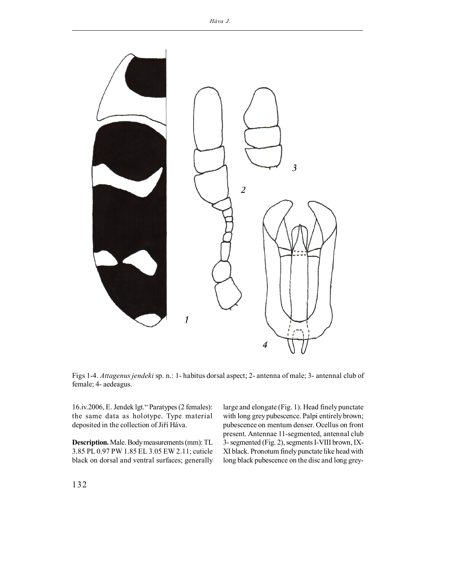

Figs 1-4. *Attagenus jendeki* sp. n.: 1- habitus dorsal aspect; 2- antenna of male; 3- antennal club of female; 4- aedeagus.

16.iv.2006, E. Jendek lgt." Paratypes (2 females): the same data as holotype. Type material deposited in the collection of Jiří Háva.

**Description.** Male. Body measurements (mm): TL 3.85 PL 0.97 PW 1.85 EL 3.05 EW 2.11; cuticle black on dorsal and ventral surfaces; generally

large and elongate (Fig. 1). Head finely punctate with long grey pubescence. Palpi entirely brown; pubescence on mentum denser. Ocellus on front present. Antennae 11-segmented, antennal club 3- segmented (Fig. 2), segments I-VIII brown, IX-XI black. Pronotum finely punctate like head with long black pubescence on the disc and long grey